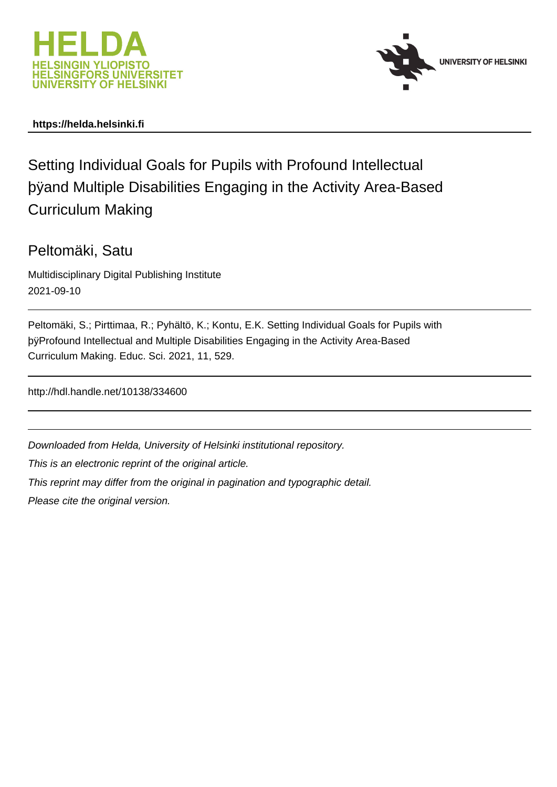



## **https://helda.helsinki.fi**

# Setting Individual Goals for Pupils with Profound Intellectual þÿand Multiple Disabilities Engaging in the Activit Curriculum Making

## Peltomäki, Satu

Multidisciplinary Digital Publishing Institute 2021-09-10

| Peltomäki, S.; Pirttimaa, R.; Pyhältö, K.; Kontu, E.K. Setting Individual Goals for Pupils with |  |  |  |  |
|-------------------------------------------------------------------------------------------------|--|--|--|--|
| þÿProfound Intellectual and Multiple Disabilities Engaging in the Activity                      |  |  |  |  |
| Curriculum Making. Educ. Sci. 2021, 11, 529.                                                    |  |  |  |  |

http://hdl.handle.net/10138/334600

Downloaded from Helda, University of Helsinki institutional repository.

This is an electronic reprint of the original article.

This reprint may differ from the original in pagination and typographic detail.

Please cite the original version.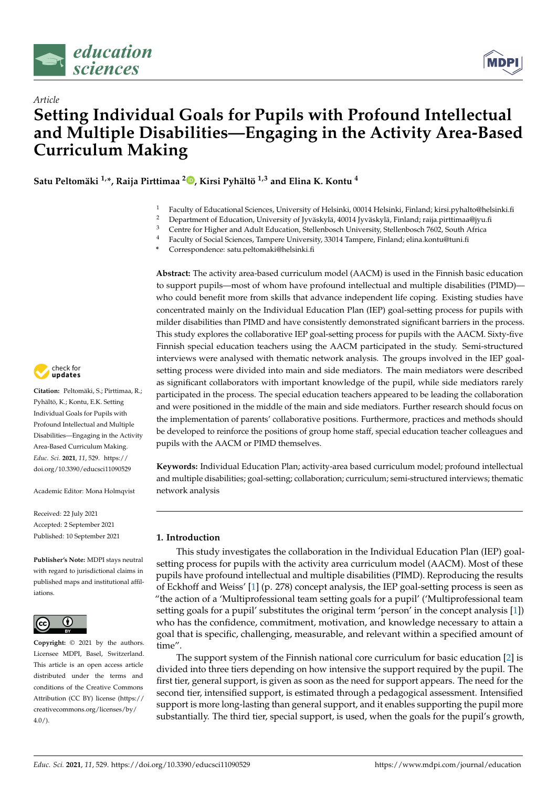

*Article*



# **Setting Individual Goals for Pupils with Profound Intellectual and Multiple Disabilities—Engaging in the Activity Area-Based Curriculum Making**

**Satu Peltomäki 1,\*, Raija Pirttimaa <sup>2</sup> [,](https://orcid.org/0000-0001-9427-9628) Kirsi Pyhältö 1,3 and Elina K. Kontu <sup>4</sup>**

- <sup>1</sup> Faculty of Educational Sciences, University of Helsinki, 00014 Helsinki, Finland; kirsi.pyhalto@helsinki.fi
- <sup>2</sup> Department of Education, University of Jyväskylä, 40014 Jyväskylä, Finland; raija.pirttimaa@jyu.fi
- <sup>3</sup> Centre for Higher and Adult Education, Stellenbosch University, Stellenbosch 7602, South Africa
- <sup>4</sup> Faculty of Social Sciences, Tampere University, 33014 Tampere, Finland; elina.kontu@tuni.fi
- **\*** Correspondence: satu.peltomaki@helsinki.fi

**Abstract:** The activity area-based curriculum model (AACM) is used in the Finnish basic education to support pupils—most of whom have profound intellectual and multiple disabilities (PIMD) who could benefit more from skills that advance independent life coping. Existing studies have concentrated mainly on the Individual Education Plan (IEP) goal-setting process for pupils with milder disabilities than PIMD and have consistently demonstrated significant barriers in the process. This study explores the collaborative IEP goal-setting process for pupils with the AACM. Sixty-five Finnish special education teachers using the AACM participated in the study. Semi-structured interviews were analysed with thematic network analysis. The groups involved in the IEP goalsetting process were divided into main and side mediators. The main mediators were described as significant collaborators with important knowledge of the pupil, while side mediators rarely participated in the process. The special education teachers appeared to be leading the collaboration and were positioned in the middle of the main and side mediators. Further research should focus on the implementation of parents' collaborative positions. Furthermore, practices and methods should be developed to reinforce the positions of group home staff, special education teacher colleagues and pupils with the AACM or PIMD themselves.

**Keywords:** Individual Education Plan; activity-area based curriculum model; profound intellectual and multiple disabilities; goal-setting; collaboration; curriculum; semi-structured interviews; thematic network analysis

### **1. Introduction**

This study investigates the collaboration in the Individual Education Plan (IEP) goalsetting process for pupils with the activity area curriculum model (AACM). Most of these pupils have profound intellectual and multiple disabilities (PIMD). Reproducing the results of Eckhoff and Weiss' [1] (p. 278) concept analysis, the IEP goal-setting process is seen as "the action of a 'Multiprofessional team setting goals for a pupil' ('Multiprofessional team setting goals for a pupil' substitutes the original term 'person' in the concept analysis [1]) who has the confidence, commitment, motivation, and knowledge necessary to attain a goal that is specific, challenging, measurable, and relevant within a specified amount of time".

The support system of the Finnish national core curriculum for basic education [2] is divided into three tiers depending on how intensive the support required by the pupil. The first tier, general support, is given as soon as the need for support appears. The need for the second tier, intensified support, is estimated through a pedagogical assessment. Intensified support is more long-lasting than general support, and it enables supporting the pupil more substantially. The third tier, special support, is used, when the goals for the pupil's growth,



**Citation:** Peltomäki, S.; Pirttimaa, R.; Pyhältö, K.; Kontu, E.K. Setting Individual Goals for Pupils with Profound Intellectual and Multiple Disabilities—Engaging in the Activity Area-Based Curriculum Making. *Educ. Sci.* **2021**, *11*, 529. [https://](https://doi.org/10.3390/educsci11090529) [doi.org/10.3390/educsci11090529](https://doi.org/10.3390/educsci11090529)

Academic Editor: Mona Holmqvist

Received: 22 July 2021 Accepted: 2 September 2021 Published: 10 September 2021

**Publisher's Note:** MDPI stays neutral with regard to jurisdictional claims in published maps and institutional affiliations.



**Copyright:** © 2021 by the authors. Licensee MDPI, Basel, Switzerland. This article is an open access article distributed under the terms and conditions of the Creative Commons Attribution (CC BY) license (https:/[/](https://creativecommons.org/licenses/by/4.0/) [creativecommons.org/licenses/by/](https://creativecommons.org/licenses/by/4.0/)  $4.0/$ ).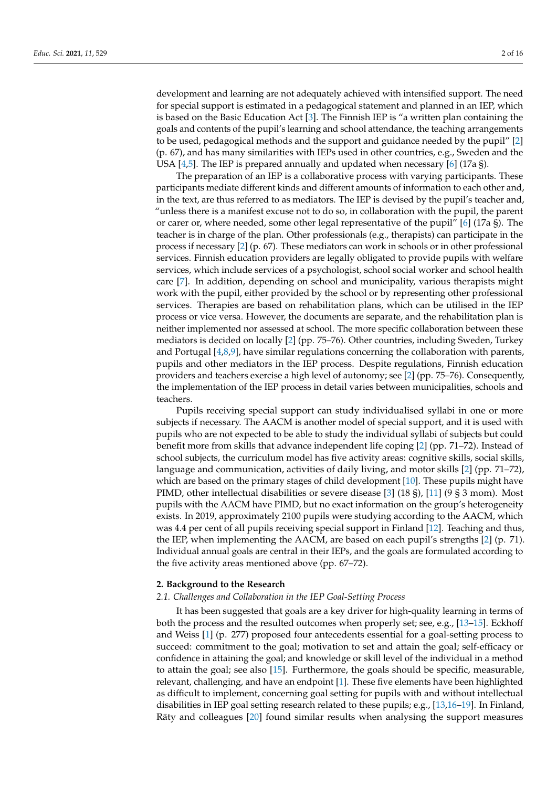development and learning are not adequately achieved with intensified support. The need for special support is estimated in a pedagogical statement and planned in an IEP, which is based on the Basic Education Act [3]. The Finnish IEP is "a written plan containing the goals and contents of the pupil's learning and school attendance, the teaching arrangements to be used, pedagogical methods and the support and guidance needed by the pupil" [2] (p. 67), and has many similarities with IEPs used in other countries, e.g., Sweden and the USA  $[4,5]$ . The IEP is prepared annually and updated when necessary  $[6]$  (17a §).

The preparation of an IEP is a collaborative process with varying participants. These participants mediate different kinds and different amounts of information to each other and, in the text, are thus referred to as mediators. The IEP is devised by the pupil's teacher and, "unless there is a manifest excuse not to do so, in collaboration with the pupil, the parent or carer or, where needed, some other legal representative of the pupil" [6] (17a §). The teacher is in charge of the plan. Other professionals (e.g., therapists) can participate in the process if necessary [2] (p. 67). These mediators can work in schools or in other professional services. Finnish education providers are legally obligated to provide pupils with welfare services, which include services of a psychologist, school social worker and school health care [7]. In addition, depending on school and municipality, various therapists might work with the pupil, either provided by the school or by representing other professional services. Therapies are based on rehabilitation plans, which can be utilised in the IEP process or vice versa. However, the documents are separate, and the rehabilitation plan is neither implemented nor assessed at school. The more specific collaboration between these mediators is decided on locally [2] (pp. 75–76). Other countries, including Sweden, Turkey and Portugal [4,8,9], have similar regulations concerning the collaboration with parents, pupils and other mediators in the IEP process. Despite regulations, Finnish education providers and teachers exercise a high level of autonomy; see [2] (pp. 75–76). Consequently, the implementation of the IEP process in detail varies between municipalities, schools and teachers.

Pupils receiving special support can study individualised syllabi in one or more subjects if necessary. The AACM is another model of special support, and it is used with pupils who are not expected to be able to study the individual syllabi of subjects but could benefit more from skills that advance independent life coping [2] (pp. 71–72). Instead of school subjects, the curriculum model has five activity areas: cognitive skills, social skills, language and communication, activities of daily living, and motor skills [2] (pp. 71–72), which are based on the primary stages of child development [10]. These pupils might have PIMD, other intellectual disabilities or severe disease [3] (18 §), [11] (9 § 3 mom). Most pupils with the AACM have PIMD, but no exact information on the group's heterogeneity exists. In 2019, approximately 2100 pupils were studying according to the AACM, which was 4.4 per cent of all pupils receiving special support in Finland [12]. Teaching and thus, the IEP, when implementing the AACM, are based on each pupil's strengths [2] (p. 71). Individual annual goals are central in their IEPs, and the goals are formulated according to the five activity areas mentioned above (pp. 67–72).

### **2. Background to the Research**

### *2.1. Challenges and Collaboration in the IEP Goal-Setting Process*

It has been suggested that goals are a key driver for high-quality learning in terms of both the process and the resulted outcomes when properly set; see, e.g., [13–15]. Eckhoff and Weiss [1] (p. 277) proposed four antecedents essential for a goal-setting process to succeed: commitment to the goal; motivation to set and attain the goal; self-efficacy or confidence in attaining the goal; and knowledge or skill level of the individual in a method to attain the goal; see also [15]. Furthermore, the goals should be specific, measurable, relevant, challenging, and have an endpoint [1]. These five elements have been highlighted as difficult to implement, concerning goal setting for pupils with and without intellectual disabilities in IEP goal setting research related to these pupils; e.g., [13,16–19]. In Finland, Räty and colleagues [20] found similar results when analysing the support measures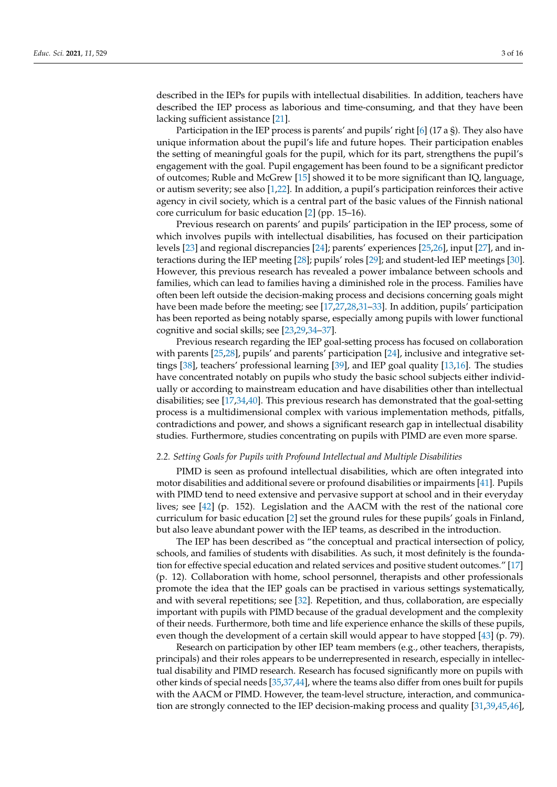described in the IEPs for pupils with intellectual disabilities. In addition, teachers have described the IEP process as laborious and time-consuming, and that they have been lacking sufficient assistance [21].

Participation in the IEP process is parents' and pupils' right [6] (17 a §). They also have unique information about the pupil's life and future hopes. Their participation enables the setting of meaningful goals for the pupil, which for its part, strengthens the pupil's engagement with the goal. Pupil engagement has been found to be a significant predictor of outcomes; Ruble and McGrew [15] showed it to be more significant than IQ, language, or autism severity; see also [1,22]. In addition, a pupil's participation reinforces their active agency in civil society, which is a central part of the basic values of the Finnish national core curriculum for basic education [2] (pp. 15–16).

Previous research on parents' and pupils' participation in the IEP process, some of which involves pupils with intellectual disabilities, has focused on their participation levels [23] and regional discrepancies [24]; parents' experiences [25,26], input [27], and interactions during the IEP meeting [28]; pupils' roles [29]; and student-led IEP meetings [30]. However, this previous research has revealed a power imbalance between schools and families, which can lead to families having a diminished role in the process. Families have often been left outside the decision-making process and decisions concerning goals might have been made before the meeting; see [17,27,28,31-33]. In addition, pupils' participation has been reported as being notably sparse, especially among pupils with lower functional cognitive and social skills; see [23,29,34–37].

Previous research regarding the IEP goal-setting process has focused on collaboration with parents [25,28], pupils' and parents' participation [24], inclusive and integrative settings [38], teachers' professional learning [39], and IEP goal quality [13,16]. The studies have concentrated notably on pupils who study the basic school subjects either individually or according to mainstream education and have disabilities other than intellectual disabilities; see [17,34,40]. This previous research has demonstrated that the goal-setting process is a multidimensional complex with various implementation methods, pitfalls, contradictions and power, and shows a significant research gap in intellectual disability studies. Furthermore, studies concentrating on pupils with PIMD are even more sparse.

### *2.2. Setting Goals for Pupils with Profound Intellectual and Multiple Disabilities*

PIMD is seen as profound intellectual disabilities, which are often integrated into motor disabilities and additional severe or profound disabilities or impairments [41]. Pupils with PIMD tend to need extensive and pervasive support at school and in their everyday lives; see [42] (p. 152). Legislation and the AACM with the rest of the national core curriculum for basic education [2] set the ground rules for these pupils' goals in Finland, but also leave abundant power with the IEP teams, as described in the introduction.

The IEP has been described as "the conceptual and practical intersection of policy, schools, and families of students with disabilities. As such, it most definitely is the foundation for effective special education and related services and positive student outcomes." [17] (p. 12). Collaboration with home, school personnel, therapists and other professionals promote the idea that the IEP goals can be practised in various settings systematically, and with several repetitions; see [32]. Repetition, and thus, collaboration, are especially important with pupils with PIMD because of the gradual development and the complexity of their needs. Furthermore, both time and life experience enhance the skills of these pupils, even though the development of a certain skill would appear to have stopped [43] (p. 79).

Research on participation by other IEP team members (e.g., other teachers, therapists, principals) and their roles appears to be underrepresented in research, especially in intellectual disability and PIMD research. Research has focused significantly more on pupils with other kinds of special needs [35,37,44], where the teams also differ from ones built for pupils with the AACM or PIMD. However, the team-level structure, interaction, and communication are strongly connected to the IEP decision-making process and quality [31,39,45,46],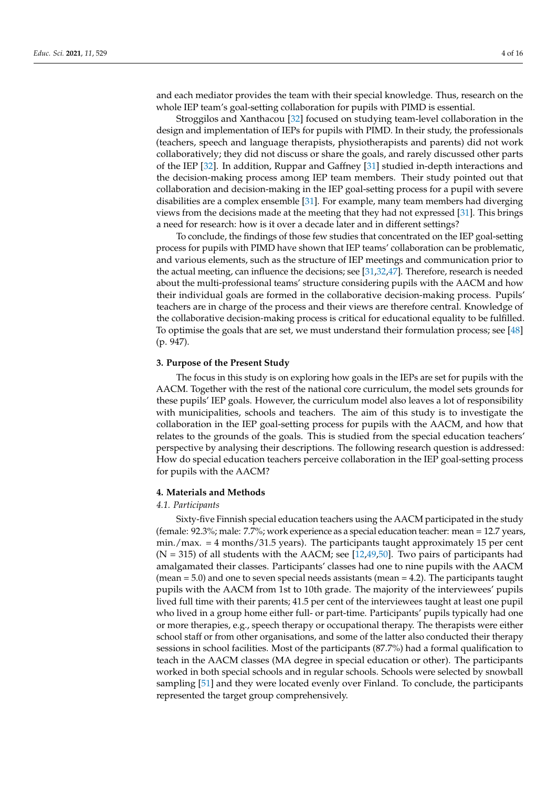and each mediator provides the team with their special knowledge. Thus, research on the whole IEP team's goal-setting collaboration for pupils with PIMD is essential.

Stroggilos and Xanthacou [32] focused on studying team-level collaboration in the design and implementation of IEPs for pupils with PIMD. In their study, the professionals (teachers, speech and language therapists, physiotherapists and parents) did not work collaboratively; they did not discuss or share the goals, and rarely discussed other parts of the IEP [32]. In addition, Ruppar and Gaffney [31] studied in-depth interactions and the decision-making process among IEP team members. Their study pointed out that collaboration and decision-making in the IEP goal-setting process for a pupil with severe disabilities are a complex ensemble [31]. For example, many team members had diverging views from the decisions made at the meeting that they had not expressed [31]. This brings a need for research: how is it over a decade later and in different settings?

To conclude, the findings of those few studies that concentrated on the IEP goal-setting process for pupils with PIMD have shown that IEP teams' collaboration can be problematic, and various elements, such as the structure of IEP meetings and communication prior to the actual meeting, can influence the decisions; see [31,32,47]. Therefore, research is needed about the multi-professional teams' structure considering pupils with the AACM and how their individual goals are formed in the collaborative decision-making process. Pupils' teachers are in charge of the process and their views are therefore central. Knowledge of the collaborative decision-making process is critical for educational equality to be fulfilled. To optimise the goals that are set, we must understand their formulation process; see [48] (p. 947).

### **3. Purpose of the Present Study**

The focus in this study is on exploring how goals in the IEPs are set for pupils with the AACM. Together with the rest of the national core curriculum, the model sets grounds for these pupils' IEP goals. However, the curriculum model also leaves a lot of responsibility with municipalities, schools and teachers. The aim of this study is to investigate the collaboration in the IEP goal-setting process for pupils with the AACM, and how that relates to the grounds of the goals. This is studied from the special education teachers' perspective by analysing their descriptions. The following research question is addressed: How do special education teachers perceive collaboration in the IEP goal-setting process for pupils with the AACM?

### **4. Materials and Methods**

### *4.1. Participants*

Sixty-five Finnish special education teachers using the AACM participated in the study (female: 92.3%; male: 7.7%; work experience as a special education teacher: mean = 12.7 years, min./max. = 4 months/31.5 years). The participants taught approximately 15 per cent  $(N = 315)$  of all students with the AACM; see [12,49,50]. Two pairs of participants had amalgamated their classes. Participants' classes had one to nine pupils with the AACM (mean = 5.0) and one to seven special needs assistants (mean = 4.2). The participants taught pupils with the AACM from 1st to 10th grade. The majority of the interviewees' pupils lived full time with their parents; 41.5 per cent of the interviewees taught at least one pupil who lived in a group home either full- or part-time. Participants' pupils typically had one or more therapies, e.g., speech therapy or occupational therapy. The therapists were either school staff or from other organisations, and some of the latter also conducted their therapy sessions in school facilities. Most of the participants (87.7%) had a formal qualification to teach in the AACM classes (MA degree in special education or other). The participants worked in both special schools and in regular schools. Schools were selected by snowball sampling [51] and they were located evenly over Finland. To conclude, the participants represented the target group comprehensively.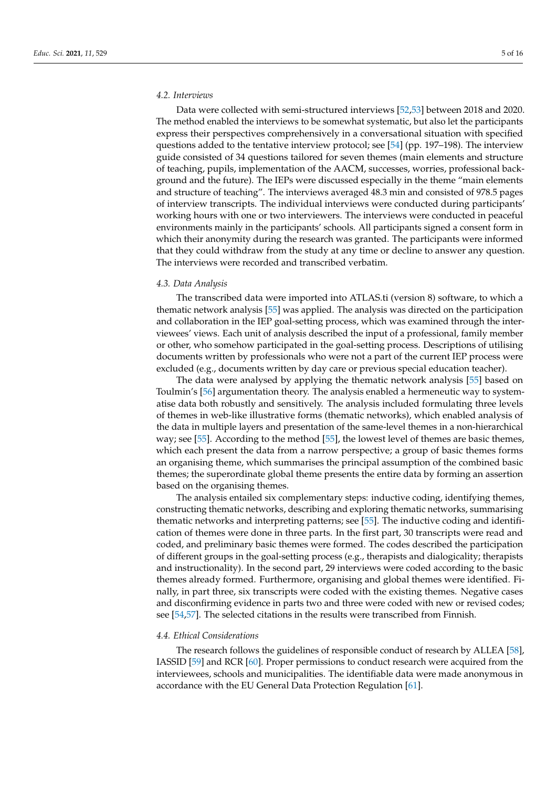### *4.2. Interviews*

Data were collected with semi-structured interviews [52,53] between 2018 and 2020. The method enabled the interviews to be somewhat systematic, but also let the participants express their perspectives comprehensively in a conversational situation with specified questions added to the tentative interview protocol; see [54] (pp. 197–198). The interview guide consisted of 34 questions tailored for seven themes (main elements and structure of teaching, pupils, implementation of the AACM, successes, worries, professional background and the future). The IEPs were discussed especially in the theme "main elements and structure of teaching". The interviews averaged 48.3 min and consisted of 978.5 pages of interview transcripts. The individual interviews were conducted during participants' working hours with one or two interviewers. The interviews were conducted in peaceful environments mainly in the participants' schools. All participants signed a consent form in which their anonymity during the research was granted. The participants were informed that they could withdraw from the study at any time or decline to answer any question. The interviews were recorded and transcribed verbatim.

### *4.3. Data Analysis*

The transcribed data were imported into ATLAS.ti (version 8) software, to which a thematic network analysis [55] was applied. The analysis was directed on the participation and collaboration in the IEP goal-setting process, which was examined through the interviewees' views. Each unit of analysis described the input of a professional, family member or other, who somehow participated in the goal-setting process. Descriptions of utilising documents written by professionals who were not a part of the current IEP process were excluded (e.g., documents written by day care or previous special education teacher).

The data were analysed by applying the thematic network analysis [55] based on Toulmin's [56] argumentation theory. The analysis enabled a hermeneutic way to systematise data both robustly and sensitively. The analysis included formulating three levels of themes in web-like illustrative forms (thematic networks), which enabled analysis of the data in multiple layers and presentation of the same-level themes in a non-hierarchical way; see [55]. According to the method [55], the lowest level of themes are basic themes, which each present the data from a narrow perspective; a group of basic themes forms an organising theme, which summarises the principal assumption of the combined basic themes; the superordinate global theme presents the entire data by forming an assertion based on the organising themes.

The analysis entailed six complementary steps: inductive coding, identifying themes, constructing thematic networks, describing and exploring thematic networks, summarising thematic networks and interpreting patterns; see [55]. The inductive coding and identification of themes were done in three parts. In the first part, 30 transcripts were read and coded, and preliminary basic themes were formed. The codes described the participation of different groups in the goal-setting process (e.g., therapists and dialogicality; therapists and instructionality). In the second part, 29 interviews were coded according to the basic themes already formed. Furthermore, organising and global themes were identified. Finally, in part three, six transcripts were coded with the existing themes. Negative cases and disconfirming evidence in parts two and three were coded with new or revised codes; see [54,57]. The selected citations in the results were transcribed from Finnish.

### *4.4. Ethical Considerations*

The research follows the guidelines of responsible conduct of research by ALLEA [58], IASSID [59] and RCR [60]. Proper permissions to conduct research were acquired from the interviewees, schools and municipalities. The identifiable data were made anonymous in accordance with the EU General Data Protection Regulation [61].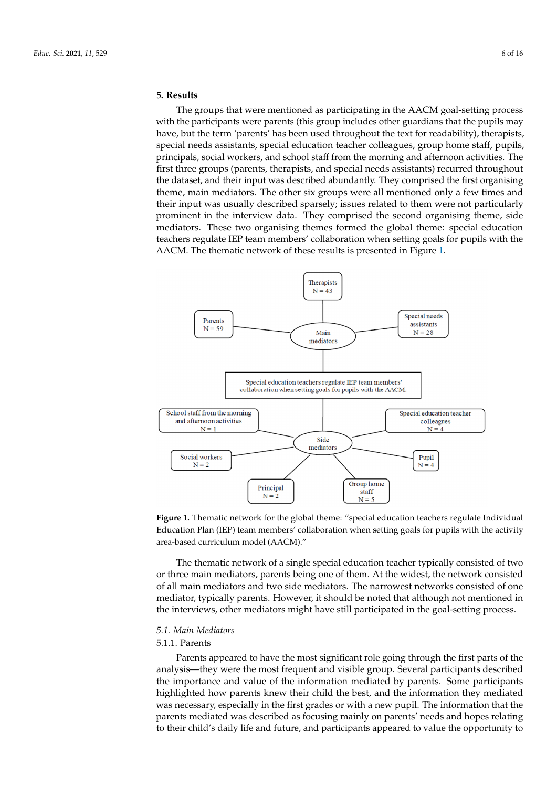#### **5. Results**  $p_{\text{max}}$  social workers, and school staff from the morning and afternoon activi-

The groups that were mentioned as participating in the AACM goal-setting process with the participants were parents (this group includes other guardians that the pupils may have, but the term 'parents' has been used throughout the text for readability), therapists, special needs assistants, special education teacher colleagues, group home staff, pupils, principals, social workers, and school staff from the morning and afternoon activities. The first three groups (parents, therapists, and special needs assistants) recurred throughout the dataset, and their input was described abundantly. They comprised the first organising theme, main mediators. The other six groups were all mentioned only a few times and their input was usually described sparsely; issues related to them were not particularly prominent in the interview data. They comprised the second organising theme, side mediators. These two organising themes formed the global theme: special education teachers regulate IEP team members' collaboration when setting goals for pupils with the AACM. The thematic network of these results is presented in Figure 1.



**Figure 1.** Thematic network for the global theme: "special education teachers regulate Individual Education Plan (IEP) team members' collaboration when setting goals for pupils with the activity Education Plan (IEP) team members' collaboration when setting goals for pupils with the activity area-based curriculum model (AACM)." area-based curriculum model (AACM)." **Figure 1.** Thematic network for the global theme: "special education teachers regulate Individual

The thematic network of a single special education teacher typically consisted of two or three main mediators, parents being one of them. At the widest, the network consisted of all main mediators and two side mediators. The narrowest networks consisted of one mediator, typically parents. However, it should be noted that although not mentioned in the interviews, other mediators might have still participated in the goal-setting process.

### *5.1. Main Mediators*

### 5.1.1. Parents

Parents appeared to have the most significant role going through the first parts of the analysis—they were the most frequent and visible group. Several participants described the importance and value of the information mediated by parents. Some participants highlighted how parents knew their child the best, and the information they mediated was necessary, especially in the first grades or with a new pupil. The information that the parents mediated was described as focusing mainly on parents' needs and hopes relating to their child's daily life and future, and participants appeared to value the opportunity to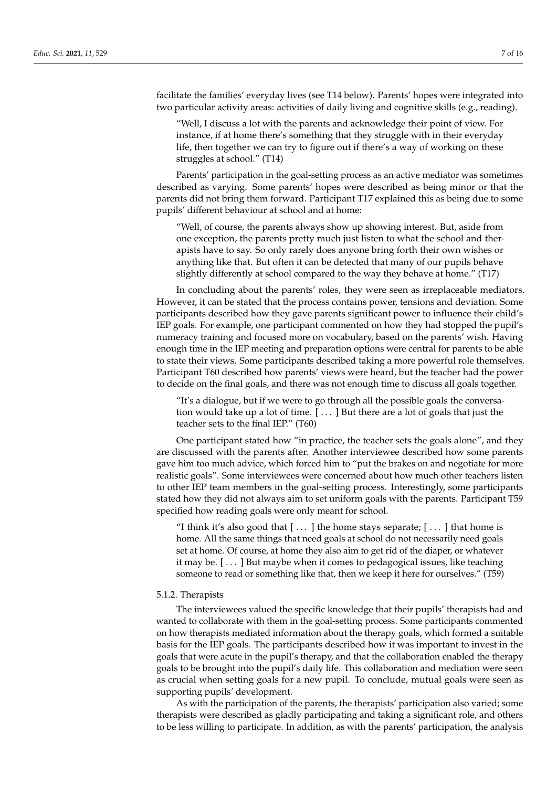facilitate the families' everyday lives (see T14 below). Parents' hopes were integrated into two particular activity areas: activities of daily living and cognitive skills (e.g., reading).

"Well, I discuss a lot with the parents and acknowledge their point of view. For instance, if at home there's something that they struggle with in their everyday life, then together we can try to figure out if there's a way of working on these struggles at school." (T14)

Parents' participation in the goal-setting process as an active mediator was sometimes described as varying. Some parents' hopes were described as being minor or that the parents did not bring them forward. Participant T17 explained this as being due to some pupils' different behaviour at school and at home:

"Well, of course, the parents always show up showing interest. But, aside from one exception, the parents pretty much just listen to what the school and therapists have to say. So only rarely does anyone bring forth their own wishes or anything like that. But often it can be detected that many of our pupils behave slightly differently at school compared to the way they behave at home." (T17)

In concluding about the parents' roles, they were seen as irreplaceable mediators. However, it can be stated that the process contains power, tensions and deviation. Some participants described how they gave parents significant power to influence their child's IEP goals. For example, one participant commented on how they had stopped the pupil's numeracy training and focused more on vocabulary, based on the parents' wish. Having enough time in the IEP meeting and preparation options were central for parents to be able to state their views. Some participants described taking a more powerful role themselves. Participant T60 described how parents' views were heard, but the teacher had the power to decide on the final goals, and there was not enough time to discuss all goals together.

"It's a dialogue, but if we were to go through all the possible goals the conversation would take up a lot of time. [ . . . ] But there are a lot of goals that just the teacher sets to the final IEP." (T60)

One participant stated how "in practice, the teacher sets the goals alone", and they are discussed with the parents after. Another interviewee described how some parents gave him too much advice, which forced him to "put the brakes on and negotiate for more realistic goals". Some interviewees were concerned about how much other teachers listen to other IEP team members in the goal-setting process. Interestingly, some participants stated how they did not always aim to set uniform goals with the parents. Participant T59 specified how reading goals were only meant for school.

"I think it's also good that  $[\dots]$  the home stays separate;  $[\dots]$  that home is home. All the same things that need goals at school do not necessarily need goals set at home. Of course, at home they also aim to get rid of the diaper, or whatever it may be. [ . . . ] But maybe when it comes to pedagogical issues, like teaching someone to read or something like that, then we keep it here for ourselves." (T59)

### 5.1.2. Therapists

The interviewees valued the specific knowledge that their pupils' therapists had and wanted to collaborate with them in the goal-setting process. Some participants commented on how therapists mediated information about the therapy goals, which formed a suitable basis for the IEP goals. The participants described how it was important to invest in the goals that were acute in the pupil's therapy, and that the collaboration enabled the therapy goals to be brought into the pupil's daily life. This collaboration and mediation were seen as crucial when setting goals for a new pupil. To conclude, mutual goals were seen as supporting pupils' development.

As with the participation of the parents, the therapists' participation also varied; some therapists were described as gladly participating and taking a significant role, and others to be less willing to participate. In addition, as with the parents' participation, the analysis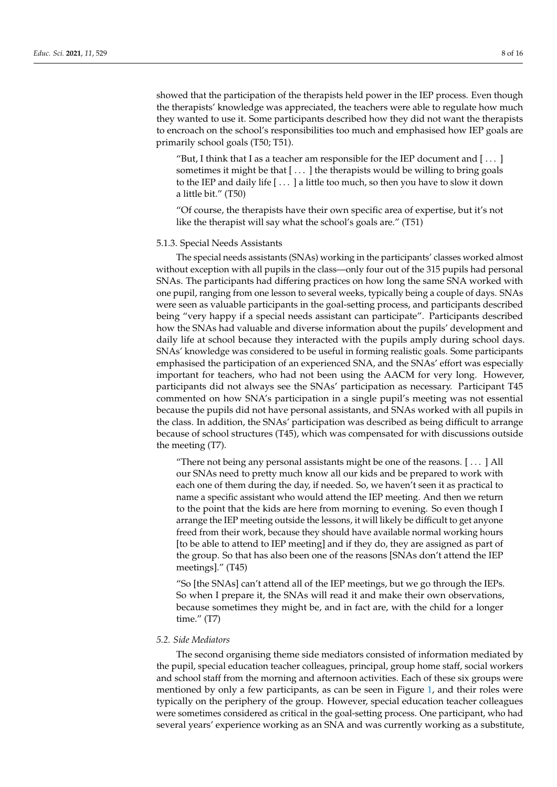showed that the participation of the therapists held power in the IEP process. Even though the therapists' knowledge was appreciated, the teachers were able to regulate how much they wanted to use it. Some participants described how they did not want the therapists to encroach on the school's responsibilities too much and emphasised how IEP goals are primarily school goals (T50; T51).

"But, I think that I as a teacher am responsible for the IEP document and  $[\ldots]$ sometimes it might be that  $[\ldots]$  the therapists would be willing to bring goals to the IEP and daily life [ . . . ] a little too much, so then you have to slow it down a little bit." (T50)

"Of course, the therapists have their own specific area of expertise, but it's not like the therapist will say what the school's goals are." (T51)

### 5.1.3. Special Needs Assistants

The special needs assistants (SNAs) working in the participants' classes worked almost without exception with all pupils in the class—only four out of the 315 pupils had personal SNAs. The participants had differing practices on how long the same SNA worked with one pupil, ranging from one lesson to several weeks, typically being a couple of days. SNAs were seen as valuable participants in the goal-setting process, and participants described being "very happy if a special needs assistant can participate". Participants described how the SNAs had valuable and diverse information about the pupils' development and daily life at school because they interacted with the pupils amply during school days. SNAs' knowledge was considered to be useful in forming realistic goals. Some participants emphasised the participation of an experienced SNA, and the SNAs' effort was especially important for teachers, who had not been using the AACM for very long. However, participants did not always see the SNAs' participation as necessary. Participant T45 commented on how SNA's participation in a single pupil's meeting was not essential because the pupils did not have personal assistants, and SNAs worked with all pupils in the class. In addition, the SNAs' participation was described as being difficult to arrange because of school structures (T45), which was compensated for with discussions outside the meeting (T7).

"There not being any personal assistants might be one of the reasons. [ . . . ] All our SNAs need to pretty much know all our kids and be prepared to work with each one of them during the day, if needed. So, we haven't seen it as practical to name a specific assistant who would attend the IEP meeting. And then we return to the point that the kids are here from morning to evening. So even though I arrange the IEP meeting outside the lessons, it will likely be difficult to get anyone freed from their work, because they should have available normal working hours [to be able to attend to IEP meeting] and if they do, they are assigned as part of the group. So that has also been one of the reasons [SNAs don't attend the IEP meetings]." (T45)

"So [the SNAs] can't attend all of the IEP meetings, but we go through the IEPs. So when I prepare it, the SNAs will read it and make their own observations, because sometimes they might be, and in fact are, with the child for a longer time." (T7)

### *5.2. Side Mediators*

The second organising theme side mediators consisted of information mediated by the pupil, special education teacher colleagues, principal, group home staff, social workers and school staff from the morning and afternoon activities. Each of these six groups were mentioned by only a few participants, as can be seen in Figure 1, and their roles were typically on the periphery of the group. However, special education teacher colleagues were sometimes considered as critical in the goal-setting process. One participant, who had several years' experience working as an SNA and was currently working as a substitute,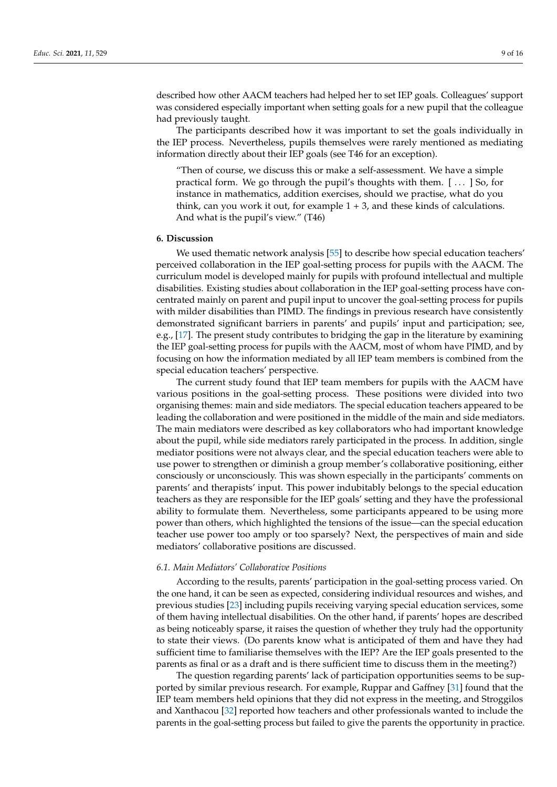described how other AACM teachers had helped her to set IEP goals. Colleagues' support was considered especially important when setting goals for a new pupil that the colleague had previously taught.

The participants described how it was important to set the goals individually in the IEP process. Nevertheless, pupils themselves were rarely mentioned as mediating information directly about their IEP goals (see T46 for an exception).

"Then of course, we discuss this or make a self-assessment. We have a simple practical form. We go through the pupil's thoughts with them. [ . . . ] So, for instance in mathematics, addition exercises, should we practise, what do you think, can you work it out, for example  $1 + 3$ , and these kinds of calculations. And what is the pupil's view." (T46)

### **6. Discussion**

We used thematic network analysis [55] to describe how special education teachers' perceived collaboration in the IEP goal-setting process for pupils with the AACM. The curriculum model is developed mainly for pupils with profound intellectual and multiple disabilities. Existing studies about collaboration in the IEP goal-setting process have concentrated mainly on parent and pupil input to uncover the goal-setting process for pupils with milder disabilities than PIMD. The findings in previous research have consistently demonstrated significant barriers in parents' and pupils' input and participation; see, e.g., [17]. The present study contributes to bridging the gap in the literature by examining the IEP goal-setting process for pupils with the AACM, most of whom have PIMD, and by focusing on how the information mediated by all IEP team members is combined from the special education teachers' perspective.

The current study found that IEP team members for pupils with the AACM have various positions in the goal-setting process. These positions were divided into two organising themes: main and side mediators. The special education teachers appeared to be leading the collaboration and were positioned in the middle of the main and side mediators. The main mediators were described as key collaborators who had important knowledge about the pupil, while side mediators rarely participated in the process. In addition, single mediator positions were not always clear, and the special education teachers were able to use power to strengthen or diminish a group member's collaborative positioning, either consciously or unconsciously. This was shown especially in the participants' comments on parents' and therapists' input. This power indubitably belongs to the special education teachers as they are responsible for the IEP goals' setting and they have the professional ability to formulate them. Nevertheless, some participants appeared to be using more power than others, which highlighted the tensions of the issue—can the special education teacher use power too amply or too sparsely? Next, the perspectives of main and side mediators' collaborative positions are discussed.

### *6.1. Main Mediators' Collaborative Positions*

According to the results, parents' participation in the goal-setting process varied. On the one hand, it can be seen as expected, considering individual resources and wishes, and previous studies [23] including pupils receiving varying special education services, some of them having intellectual disabilities. On the other hand, if parents' hopes are described as being noticeably sparse, it raises the question of whether they truly had the opportunity to state their views. (Do parents know what is anticipated of them and have they had sufficient time to familiarise themselves with the IEP? Are the IEP goals presented to the parents as final or as a draft and is there sufficient time to discuss them in the meeting?)

The question regarding parents' lack of participation opportunities seems to be supported by similar previous research. For example, Ruppar and Gaffney [31] found that the IEP team members held opinions that they did not express in the meeting, and Stroggilos and Xanthacou [32] reported how teachers and other professionals wanted to include the parents in the goal-setting process but failed to give the parents the opportunity in practice.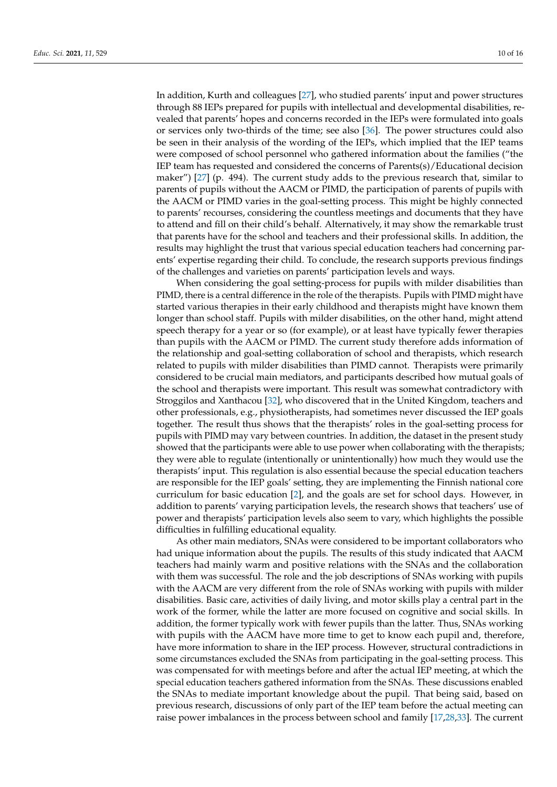In addition, Kurth and colleagues [27], who studied parents' input and power structures through 88 IEPs prepared for pupils with intellectual and developmental disabilities, revealed that parents' hopes and concerns recorded in the IEPs were formulated into goals or services only two-thirds of the time; see also [36]. The power structures could also be seen in their analysis of the wording of the IEPs, which implied that the IEP teams were composed of school personnel who gathered information about the families ("the IEP team has requested and considered the concerns of Parents(s)/Educational decision maker") [27] (p. 494). The current study adds to the previous research that, similar to parents of pupils without the AACM or PIMD, the participation of parents of pupils with the AACM or PIMD varies in the goal-setting process. This might be highly connected to parents' recourses, considering the countless meetings and documents that they have to attend and fill on their child's behalf. Alternatively, it may show the remarkable trust that parents have for the school and teachers and their professional skills. In addition, the results may highlight the trust that various special education teachers had concerning parents' expertise regarding their child. To conclude, the research supports previous findings of the challenges and varieties on parents' participation levels and ways.

When considering the goal setting-process for pupils with milder disabilities than PIMD, there is a central difference in the role of the therapists. Pupils with PIMD might have started various therapies in their early childhood and therapists might have known them longer than school staff. Pupils with milder disabilities, on the other hand, might attend speech therapy for a year or so (for example), or at least have typically fewer therapies than pupils with the AACM or PIMD. The current study therefore adds information of the relationship and goal-setting collaboration of school and therapists, which research related to pupils with milder disabilities than PIMD cannot. Therapists were primarily considered to be crucial main mediators, and participants described how mutual goals of the school and therapists were important. This result was somewhat contradictory with Stroggilos and Xanthacou [32], who discovered that in the United Kingdom, teachers and other professionals, e.g., physiotherapists, had sometimes never discussed the IEP goals together. The result thus shows that the therapists' roles in the goal-setting process for pupils with PIMD may vary between countries. In addition, the dataset in the present study showed that the participants were able to use power when collaborating with the therapists; they were able to regulate (intentionally or unintentionally) how much they would use the therapists' input. This regulation is also essential because the special education teachers are responsible for the IEP goals' setting, they are implementing the Finnish national core curriculum for basic education [2], and the goals are set for school days. However, in addition to parents' varying participation levels, the research shows that teachers' use of power and therapists' participation levels also seem to vary, which highlights the possible difficulties in fulfilling educational equality.

As other main mediators, SNAs were considered to be important collaborators who had unique information about the pupils. The results of this study indicated that AACM teachers had mainly warm and positive relations with the SNAs and the collaboration with them was successful. The role and the job descriptions of SNAs working with pupils with the AACM are very different from the role of SNAs working with pupils with milder disabilities. Basic care, activities of daily living, and motor skills play a central part in the work of the former, while the latter are more focused on cognitive and social skills. In addition, the former typically work with fewer pupils than the latter. Thus, SNAs working with pupils with the AACM have more time to get to know each pupil and, therefore, have more information to share in the IEP process. However, structural contradictions in some circumstances excluded the SNAs from participating in the goal-setting process. This was compensated for with meetings before and after the actual IEP meeting, at which the special education teachers gathered information from the SNAs. These discussions enabled the SNAs to mediate important knowledge about the pupil. That being said, based on previous research, discussions of only part of the IEP team before the actual meeting can raise power imbalances in the process between school and family [17,28,33]. The current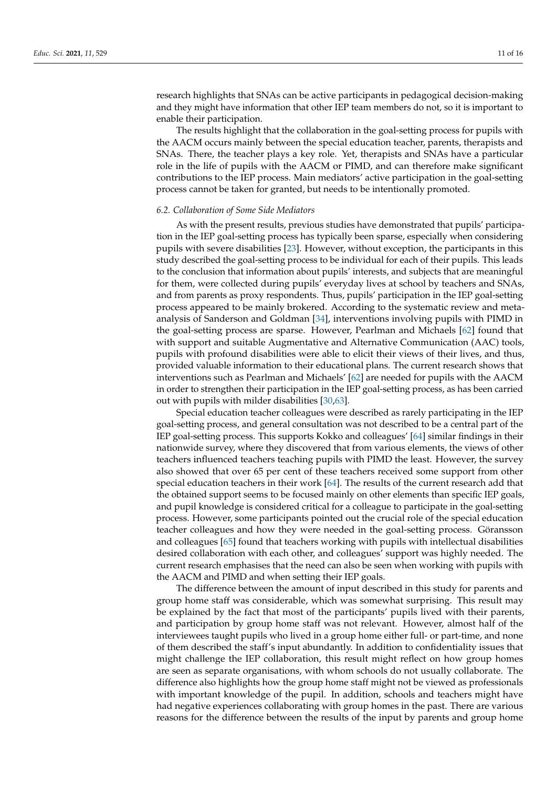research highlights that SNAs can be active participants in pedagogical decision-making and they might have information that other IEP team members do not, so it is important to enable their participation.

The results highlight that the collaboration in the goal-setting process for pupils with the AACM occurs mainly between the special education teacher, parents, therapists and SNAs. There, the teacher plays a key role. Yet, therapists and SNAs have a particular role in the life of pupils with the AACM or PIMD, and can therefore make significant contributions to the IEP process. Main mediators' active participation in the goal-setting process cannot be taken for granted, but needs to be intentionally promoted.

### *6.2. Collaboration of Some Side Mediators*

As with the present results, previous studies have demonstrated that pupils' participation in the IEP goal-setting process has typically been sparse, especially when considering pupils with severe disabilities [23]. However, without exception, the participants in this study described the goal-setting process to be individual for each of their pupils. This leads to the conclusion that information about pupils' interests, and subjects that are meaningful for them, were collected during pupils' everyday lives at school by teachers and SNAs, and from parents as proxy respondents. Thus, pupils' participation in the IEP goal-setting process appeared to be mainly brokered. According to the systematic review and metaanalysis of Sanderson and Goldman [34], interventions involving pupils with PIMD in the goal-setting process are sparse. However, Pearlman and Michaels [62] found that with support and suitable Augmentative and Alternative Communication (AAC) tools, pupils with profound disabilities were able to elicit their views of their lives, and thus, provided valuable information to their educational plans. The current research shows that interventions such as Pearlman and Michaels' [62] are needed for pupils with the AACM in order to strengthen their participation in the IEP goal-setting process, as has been carried out with pupils with milder disabilities [30,63].

Special education teacher colleagues were described as rarely participating in the IEP goal-setting process, and general consultation was not described to be a central part of the IEP goal-setting process. This supports Kokko and colleagues' [64] similar findings in their nationwide survey, where they discovered that from various elements, the views of other teachers influenced teachers teaching pupils with PIMD the least. However, the survey also showed that over 65 per cent of these teachers received some support from other special education teachers in their work [64]. The results of the current research add that the obtained support seems to be focused mainly on other elements than specific IEP goals, and pupil knowledge is considered critical for a colleague to participate in the goal-setting process. However, some participants pointed out the crucial role of the special education teacher colleagues and how they were needed in the goal-setting process. Göransson and colleagues [65] found that teachers working with pupils with intellectual disabilities desired collaboration with each other, and colleagues' support was highly needed. The current research emphasises that the need can also be seen when working with pupils with the AACM and PIMD and when setting their IEP goals.

The difference between the amount of input described in this study for parents and group home staff was considerable, which was somewhat surprising. This result may be explained by the fact that most of the participants' pupils lived with their parents, and participation by group home staff was not relevant. However, almost half of the interviewees taught pupils who lived in a group home either full- or part-time, and none of them described the staff's input abundantly. In addition to confidentiality issues that might challenge the IEP collaboration, this result might reflect on how group homes are seen as separate organisations, with whom schools do not usually collaborate. The difference also highlights how the group home staff might not be viewed as professionals with important knowledge of the pupil. In addition, schools and teachers might have had negative experiences collaborating with group homes in the past. There are various reasons for the difference between the results of the input by parents and group home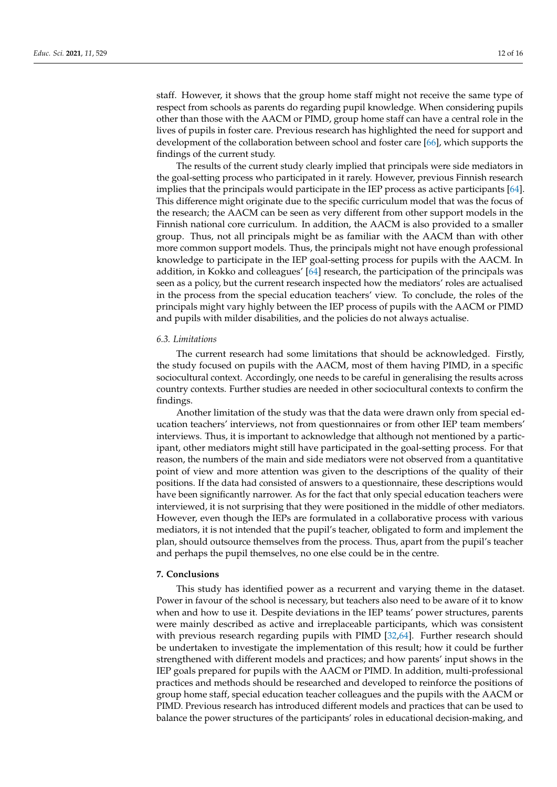staff. However, it shows that the group home staff might not receive the same type of respect from schools as parents do regarding pupil knowledge. When considering pupils other than those with the AACM or PIMD, group home staff can have a central role in the lives of pupils in foster care. Previous research has highlighted the need for support and development of the collaboration between school and foster care [66], which supports the findings of the current study.

The results of the current study clearly implied that principals were side mediators in the goal-setting process who participated in it rarely. However, previous Finnish research implies that the principals would participate in the IEP process as active participants [64]. This difference might originate due to the specific curriculum model that was the focus of the research; the AACM can be seen as very different from other support models in the Finnish national core curriculum. In addition, the AACM is also provided to a smaller group. Thus, not all principals might be as familiar with the AACM than with other more common support models. Thus, the principals might not have enough professional knowledge to participate in the IEP goal-setting process for pupils with the AACM. In addition, in Kokko and colleagues' [64] research, the participation of the principals was seen as a policy, but the current research inspected how the mediators' roles are actualised in the process from the special education teachers' view. To conclude, the roles of the principals might vary highly between the IEP process of pupils with the AACM or PIMD and pupils with milder disabilities, and the policies do not always actualise.

### *6.3. Limitations*

The current research had some limitations that should be acknowledged. Firstly, the study focused on pupils with the AACM, most of them having PIMD, in a specific sociocultural context. Accordingly, one needs to be careful in generalising the results across country contexts. Further studies are needed in other sociocultural contexts to confirm the findings.

Another limitation of the study was that the data were drawn only from special education teachers' interviews, not from questionnaires or from other IEP team members' interviews. Thus, it is important to acknowledge that although not mentioned by a participant, other mediators might still have participated in the goal-setting process. For that reason, the numbers of the main and side mediators were not observed from a quantitative point of view and more attention was given to the descriptions of the quality of their positions. If the data had consisted of answers to a questionnaire, these descriptions would have been significantly narrower. As for the fact that only special education teachers were interviewed, it is not surprising that they were positioned in the middle of other mediators. However, even though the IEPs are formulated in a collaborative process with various mediators, it is not intended that the pupil's teacher, obligated to form and implement the plan, should outsource themselves from the process. Thus, apart from the pupil's teacher and perhaps the pupil themselves, no one else could be in the centre.

### **7. Conclusions**

This study has identified power as a recurrent and varying theme in the dataset. Power in favour of the school is necessary, but teachers also need to be aware of it to know when and how to use it. Despite deviations in the IEP teams' power structures, parents were mainly described as active and irreplaceable participants, which was consistent with previous research regarding pupils with PIMD [32,64]. Further research should be undertaken to investigate the implementation of this result; how it could be further strengthened with different models and practices; and how parents' input shows in the IEP goals prepared for pupils with the AACM or PIMD. In addition, multi-professional practices and methods should be researched and developed to reinforce the positions of group home staff, special education teacher colleagues and the pupils with the AACM or PIMD. Previous research has introduced different models and practices that can be used to balance the power structures of the participants' roles in educational decision-making, and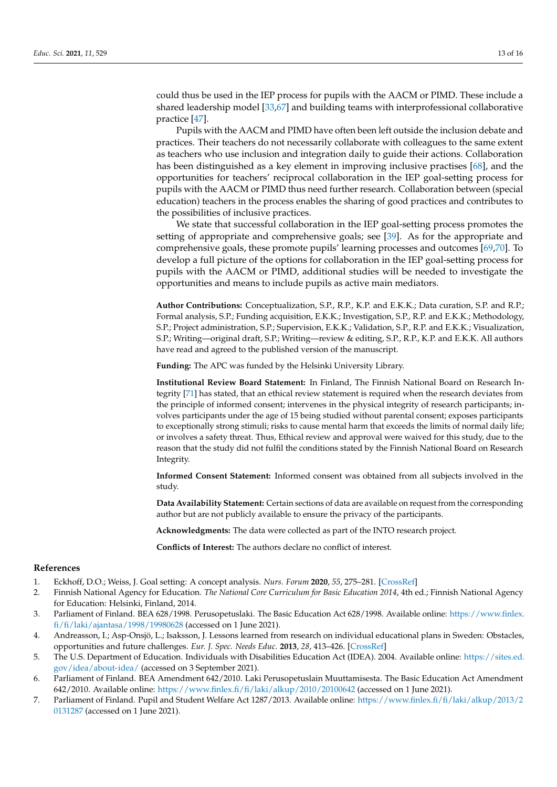could thus be used in the IEP process for pupils with the AACM or PIMD. These include a shared leadership model [33,67] and building teams with interprofessional collaborative practice [47].

Pupils with the AACM and PIMD have often been left outside the inclusion debate and practices. Their teachers do not necessarily collaborate with colleagues to the same extent as teachers who use inclusion and integration daily to guide their actions. Collaboration has been distinguished as a key element in improving inclusive practises [68], and the opportunities for teachers' reciprocal collaboration in the IEP goal-setting process for pupils with the AACM or PIMD thus need further research. Collaboration between (special education) teachers in the process enables the sharing of good practices and contributes to the possibilities of inclusive practices.

We state that successful collaboration in the IEP goal-setting process promotes the setting of appropriate and comprehensive goals; see [39]. As for the appropriate and comprehensive goals, these promote pupils' learning processes and outcomes [69,70]. To develop a full picture of the options for collaboration in the IEP goal-setting process for pupils with the AACM or PIMD, additional studies will be needed to investigate the opportunities and means to include pupils as active main mediators.

**Author Contributions:** Conceptualization, S.P., R.P., K.P. and E.K.K.; Data curation, S.P. and R.P.; Formal analysis, S.P.; Funding acquisition, E.K.K.; Investigation, S.P., R.P. and E.K.K.; Methodology, S.P.; Project administration, S.P.; Supervision, E.K.K.; Validation, S.P., R.P. and E.K.K.; Visualization, S.P.; Writing—original draft, S.P.; Writing—review & editing, S.P., R.P., K.P. and E.K.K. All authors have read and agreed to the published version of the manuscript.

**Funding:** The APC was funded by the Helsinki University Library.

**Institutional Review Board Statement:** In Finland, The Finnish National Board on Research Integrity [71] has stated, that an ethical review statement is required when the research deviates from the principle of informed consent; intervenes in the physical integrity of research participants; involves participants under the age of 15 being studied without parental consent; exposes participants to exceptionally strong stimuli; risks to cause mental harm that exceeds the limits of normal daily life; or involves a safety threat. Thus, Ethical review and approval were waived for this study, due to the reason that the study did not fulfil the conditions stated by the Finnish National Board on Research Integrity.

**Informed Consent Statement:** Informed consent was obtained from all subjects involved in the study.

**Data Availability Statement:** Certain sections of data are available on request from the corresponding author but are not publicly available to ensure the privacy of the participants.

**Acknowledgments:** The data were collected as part of the INTO research project.

**Conflicts of Interest:** The authors declare no conflict of interest.

### **References**

- 1. Eckhoff, D.O.; Weiss, J. Goal setting: A concept analysis. *Nurs. Forum* **2020**, *55*, 275–281. [\[CrossRef\]](http://doi.org/10.1111/nuf.12426)
- 2. Finnish National Agency for Education. *The National Core Curriculum for Basic Education 2014*, 4th ed.; Finnish National Agency for Education: Helsinki, Finland, 2014.
- 3. Parliament of Finland. BEA 628/1998. Perusopetuslaki. The Basic Education Act 628/1998. Available online: [https://www.finlex.](https://www.finlex.fi/fi/laki/ajantasa/1998/19980628) [fi/fi/laki/ajantasa/1998/19980628](https://www.finlex.fi/fi/laki/ajantasa/1998/19980628) (accessed on 1 June 2021).
- 4. Andreasson, I.; Asp-Onsjö, L.; Isaksson, J. Lessons learned from research on individual educational plans in Sweden: Obstacles, opportunities and future challenges. *Eur. J. Spec. Needs Educ.* **2013**, *28*, 413–426. [\[CrossRef\]](http://doi.org/10.1080/08856257.2013.812405)
- 5. The U.S. Department of Education. Individuals with Disabilities Education Act (IDEA). 2004. Available online: [https://sites.ed.](https://sites.ed.gov/idea/about-idea/) [gov/idea/about-idea/](https://sites.ed.gov/idea/about-idea/) (accessed on 3 September 2021).
- 6. Parliament of Finland. BEA Amendment 642/2010. Laki Perusopetuslain Muuttamisesta. The Basic Education Act Amendment 642/2010. Available online: <https://www.finlex.fi/fi/laki/alkup/2010/20100642> (accessed on 1 June 2021).
- 7. Parliament of Finland. Pupil and Student Welfare Act 1287/2013. Available online: [https://www.finlex.fi/fi/laki/alkup/2013/2](https://www.finlex.fi/fi/laki/alkup/2013/20131287) [0131287](https://www.finlex.fi/fi/laki/alkup/2013/20131287) (accessed on 1 June 2021).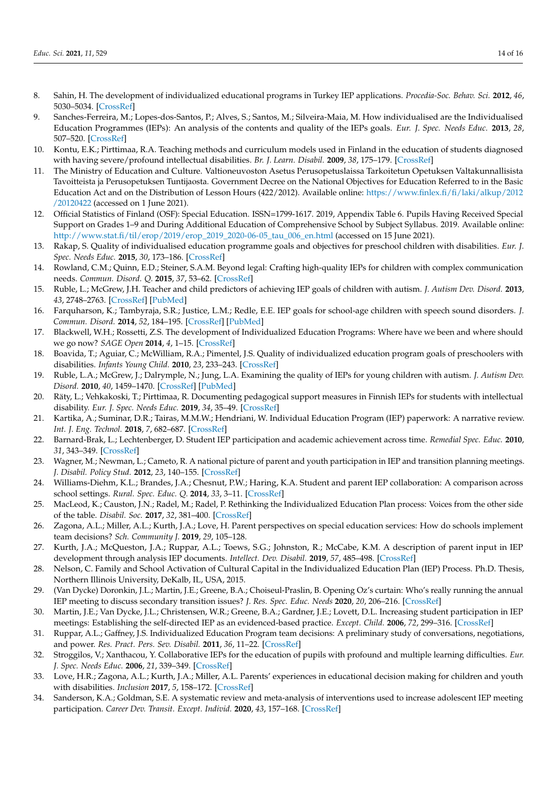- 8. Sahin, H. The development of individualized educational programs in Turkey IEP applications. *Procedia-Soc. Behav. Sci.* **2012**, *46*, 5030–5034. [\[CrossRef\]](http://doi.org/10.1016/j.sbspro.2012.06.381)
- 9. Sanches-Ferreira, M.; Lopes-dos-Santos, P.; Alves, S.; Santos, M.; Silveira-Maia, M. How individualised are the Individualised Education Programmes (IEPs): An analysis of the contents and quality of the IEPs goals. *Eur. J. Spec. Needs Educ.* **2013**, *28*, 507–520. [\[CrossRef\]](http://doi.org/10.1080/08856257.2013.830435)
- 10. Kontu, E.K.; Pirttimaa, R.A. Teaching methods and curriculum models used in Finland in the education of students diagnosed with having severe/profound intellectual disabilities. *Br. J. Learn. Disabil.* **2009**, *38*, 175–179. [\[CrossRef\]](http://doi.org/10.1111/j.1468-3156.2009.00571.x)
- 11. The Ministry of Education and Culture. Valtioneuvoston Asetus Perusopetuslaissa Tarkoitetun Opetuksen Valtakunnallisista Tavoitteista ja Perusopetuksen Tuntijaosta. Government Decree on the National Objectives for Education Referred to in the Basic Education Act and on the Distribution of Lesson Hours (422/2012). Available online: [https://www.finlex.fi/fi/laki/alkup/2012](https://www.finlex.fi/fi/laki/alkup/2012/20120422) [/20120422](https://www.finlex.fi/fi/laki/alkup/2012/20120422) (accessed on 1 June 2021).
- 12. Official Statistics of Finland (OSF): Special Education. ISSN=1799-1617. 2019, Appendix Table 6. Pupils Having Received Special Support on Grades 1–9 and During Additional Education of Comprehensive School by Subject Syllabus. 2019. Available online: [http://www.stat.fi/til/erop/2019/erop\\_2019\\_2020-06-05\\_tau\\_006\\_en.html](http://www.stat.fi/til/erop/2019/erop_2019_2020-06-05_tau_006_en.html) (accessed on 15 June 2021).
- 13. Rakap, S. Quality of individualised education programme goals and objectives for preschool children with disabilities. *Eur. J. Spec. Needs Educ.* **2015**, *30*, 173–186. [\[CrossRef\]](http://doi.org/10.1080/08856257.2014.986909)
- 14. Rowland, C.M.; Quinn, E.D.; Steiner, S.A.M. Beyond legal: Crafting high-quality IEPs for children with complex communication needs. *Commun. Disord. Q.* **2015**, *37*, 53–62. [\[CrossRef\]](http://doi.org/10.1177/1525740114551632)
- 15. Ruble, L.; McGrew, J.H. Teacher and child predictors of achieving IEP goals of children with autism. *J. Autism Dev. Disord.* **2013**, *43*, 2748–2763. [\[CrossRef\]](http://doi.org/10.1007/s10803-013-1884-x) [\[PubMed\]](http://www.ncbi.nlm.nih.gov/pubmed/23838728)
- 16. Farquharson, K.; Tambyraja, S.R.; Justice, L.M.; Redle, E.E. IEP goals for school-age children with speech sound disorders. *J. Commun. Disord.* **2014**, *52*, 184–195. [\[CrossRef\]](http://doi.org/10.1016/j.jcomdis.2014.09.005) [\[PubMed\]](http://www.ncbi.nlm.nih.gov/pubmed/25459461)
- 17. Blackwell, W.H.; Rossetti, Z.S. The development of Individualized Education Programs: Where have we been and where should we go now? *SAGE Open* **2014**, *4*, 1–15. [\[CrossRef\]](http://doi.org/10.1177/2158244014530411)
- 18. Boavida, T.; Aguiar, C.; McWilliam, R.A.; Pimentel, J.S. Quality of individualized education program goals of preschoolers with disabilities. *Infants Young Child.* **2010**, *23*, 233–243. [\[CrossRef\]](http://doi.org/10.1097/IYC.0b013e3181e45925)
- 19. Ruble, L.A.; McGrew, J.; Dalrymple, N.; Jung, L.A. Examining the quality of IEPs for young children with autism. *J. Autism Dev. Disord.* **2010**, *40*, 1459–1470. [\[CrossRef\]](http://doi.org/10.1007/s10803-010-1003-1) [\[PubMed\]](http://www.ncbi.nlm.nih.gov/pubmed/20373007)
- 20. Räty, L.; Vehkakoski, T.; Pirttimaa, R. Documenting pedagogical support measures in Finnish IEPs for students with intellectual disability. *Eur. J. Spec. Needs Educ.* **2019**, *34*, 35–49. [\[CrossRef\]](http://doi.org/10.1080/08856257.2018.1435011)
- 21. Kartika, A.; Suminar, D.R.; Tairas, M.M.W.; Hendriani, W. Individual Education Program (IEP) paperwork: A narrative review. *Int. J. Eng. Technol.* **2018**, *7*, 682–687. [\[CrossRef\]](http://doi.org/10.14419/ijet.v7i2.29.13997)
- 22. Barnard-Brak, L.; Lechtenberger, D. Student IEP participation and academic achievement across time. *Remedial Spec. Educ.* **2010**, *31*, 343–349. [\[CrossRef\]](http://doi.org/10.1177/0741932509338382)
- 23. Wagner, M.; Newman, L.; Cameto, R. A national picture of parent and youth participation in IEP and transition planning meetings. *J. Disabil. Policy Stud.* **2012**, *23*, 140–155. [\[CrossRef\]](http://doi.org/10.1177/1044207311425384)
- 24. Williams-Diehm, K.L.; Brandes, J.A.; Chesnut, P.W.; Haring, K.A. Student and parent IEP collaboration: A comparison across school settings. *Rural. Spec. Educ. Q.* **2014**, *33*, 3–11. [\[CrossRef\]](http://doi.org/10.1177/875687051403300102)
- 25. MacLeod, K.; Causton, J.N.; Radel, M.; Radel, P. Rethinking the Individualized Education Plan process: Voices from the other side of the table. *Disabil. Soc.* **2017**, *32*, 381–400. [\[CrossRef\]](http://doi.org/10.1080/09687599.2017.1294048)
- 26. Zagona, A.L.; Miller, A.L.; Kurth, J.A.; Love, H. Parent perspectives on special education services: How do schools implement team decisions? *Sch. Community J.* **2019**, *29*, 105–128.
- 27. Kurth, J.A.; McQueston, J.A.; Ruppar, A.L.; Toews, S.G.; Johnston, R.; McCabe, K.M. A description of parent input in IEP development through analysis IEP documents. *Intellect. Dev. Disabil.* **2019**, *57*, 485–498. [\[CrossRef\]](http://doi.org/10.1352/1934-9556-57.6.485)
- 28. Nelson, C. Family and School Activation of Cultural Capital in the Individualized Education Plan (IEP) Process. Ph.D. Thesis, Northern Illinois University, DeKalb, IL, USA, 2015.
- 29. (Van Dycke) Doronkin, J.L.; Martin, J.E.; Greene, B.A.; Choiseul-Praslin, B. Opening Oz's curtain: Who's really running the annual IEP meeting to discuss secondary transition issues? *J. Res. Spec. Educ. Needs* **2020**, *20*, 206–216. [\[CrossRef\]](http://doi.org/10.1111/1471-3802.12473)
- 30. Martin, J.E.; Van Dycke, J.L.; Christensen, W.R.; Greene, B.A.; Gardner, J.E.; Lovett, D.L. Increasing student participation in IEP meetings: Establishing the self-directed IEP as an evidenced-based practice. *Except. Child.* **2006**, *72*, 299–316. [\[CrossRef\]](http://doi.org/10.1177/001440290607200303)
- 31. Ruppar, A.L.; Gaffney, J.S. Individualized Education Program team decisions: A preliminary study of conversations, negotiations, and power. *Res. Pract. Pers. Sev. Disabil.* **2011**, *36*, 11–22. [\[CrossRef\]](http://doi.org/10.2511/rpsd.36.1-2.11)
- 32. Stroggilos, V.; Xanthacou, Y. Collaborative IEPs for the education of pupils with profound and multiple learning difficulties. *Eur. J. Spec. Needs Educ.* **2006**, *21*, 339–349. [\[CrossRef\]](http://doi.org/10.1080/08856250600810872)
- 33. Love, H.R.; Zagona, A.L.; Kurth, J.A.; Miller, A.L. Parents' experiences in educational decision making for children and youth with disabilities. *Inclusion* **2017**, *5*, 158–172. [\[CrossRef\]](http://doi.org/10.1352/2326-6988-5.3.158)
- 34. Sanderson, K.A.; Goldman, S.E. A systematic review and meta-analysis of interventions used to increase adolescent IEP meeting participation. *Career Dev. Transit. Except. Individ.* **2020**, *43*, 157–168. [\[CrossRef\]](http://doi.org/10.1177/2165143420922552)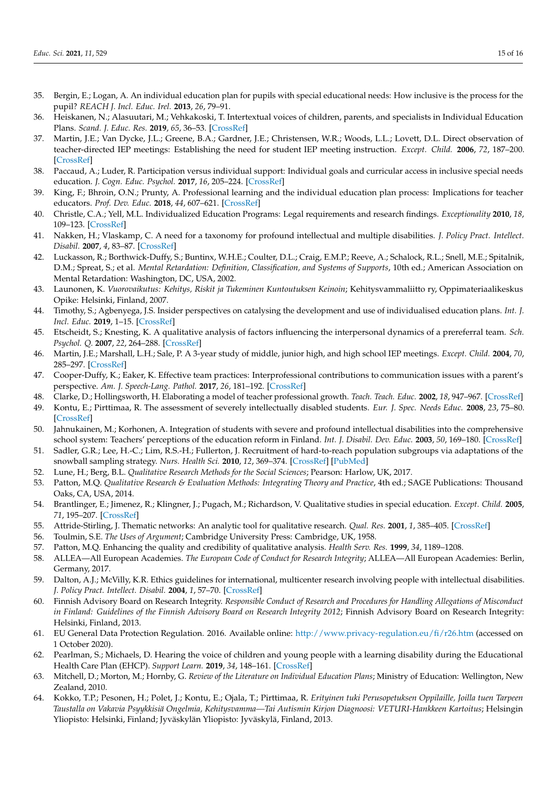- 35. Bergin, E.; Logan, A. An individual education plan for pupils with special educational needs: How inclusive is the process for the pupil? *REACH J. Incl. Educ. Irel.* **2013**, *26*, 79–91.
- 36. Heiskanen, N.; Alasuutari, M.; Vehkakoski, T. Intertextual voices of children, parents, and specialists in Individual Education Plans. *Scand. J. Educ. Res.* **2019**, *65*, 36–53. [\[CrossRef\]](http://doi.org/10.1080/00313831.2019.1650825)
- 37. Martin, J.E.; Van Dycke, J.L.; Greene, B.A.; Gardner, J.E.; Christensen, W.R.; Woods, L.L.; Lovett, D.L. Direct observation of teacher-directed IEP meetings: Establishing the need for student IEP meeting instruction. *Except. Child.* **2006**, *72*, 187–200. [\[CrossRef\]](http://doi.org/10.1177/001440290607200204)
- 38. Paccaud, A.; Luder, R. Participation versus individual support: Individual goals and curricular access in inclusive special needs education. *J. Cogn. Educ. Psychol.* **2017**, *16*, 205–224. [\[CrossRef\]](http://doi.org/10.1891/1945-8959.16.2.205)
- 39. King, F.; Bhroin, O.N.; Prunty, A. Professional learning and the individual education plan process: Implications for teacher educators. *Prof. Dev. Educ.* **2018**, *44*, 607–621. [\[CrossRef\]](http://doi.org/10.1080/19415257.2017.1398180)
- 40. Christle, C.A.; Yell, M.L. Individualized Education Programs: Legal requirements and research findings. *Exceptionality* **2010**, *18*, 109–123. [\[CrossRef\]](http://doi.org/10.1080/09362835.2010.491740)
- 41. Nakken, H.; Vlaskamp, C. A need for a taxonomy for profound intellectual and multiple disabilities. *J. Policy Pract. Intellect. Disabil.* **2007**, *4*, 83–87. [\[CrossRef\]](http://doi.org/10.1111/j.1741-1130.2007.00104.x)
- 42. Luckasson, R.; Borthwick-Duffy, S.; Buntinx, W.H.E.; Coulter, D.L.; Craig, E.M.P.; Reeve, A.; Schalock, R.L.; Snell, M.E.; Spitalnik, D.M.; Spreat, S.; et al. *Mental Retardation: Definition, Classification, and Systems of Supports*, 10th ed.; American Association on Mental Retardation: Washington, DC, USA, 2002.
- 43. Launonen, K. *Vuorovaikutus: Kehitys, Riskit ja Tukeminen Kuntoutuksen Keinoin*; Kehitysvammaliitto ry, Oppimateriaalikeskus Opike: Helsinki, Finland, 2007.
- 44. Timothy, S.; Agbenyega, J.S. Insider perspectives on catalysing the development and use of individualised education plans. *Int. J. Incl. Educ.* **2019**, 1–15. [\[CrossRef\]](http://doi.org/10.1080/13603116.2019.1642401)
- 45. Etscheidt, S.; Knesting, K. A qualitative analysis of factors influencing the interpersonal dynamics of a prereferral team. *Sch. Psychol. Q.* **2007**, *22*, 264–288. [\[CrossRef\]](http://doi.org/10.1037/1045-3830.22.2.264)
- 46. Martin, J.E.; Marshall, L.H.; Sale, P. A 3-year study of middle, junior high, and high school IEP meetings. *Except. Child.* **2004**, *70*, 285–297. [\[CrossRef\]](http://doi.org/10.1177/001440290407000302)
- 47. Cooper-Duffy, K.; Eaker, K. Effective team practices: Interprofessional contributions to communication issues with a parent's perspective. *Am. J. Speech-Lang. Pathol.* **2017**, *26*, 181–192. [\[CrossRef\]](http://doi.org/10.1044/2016_AJSLP-15-0069)
- 48. Clarke, D.; Hollingsworth, H. Elaborating a model of teacher professional growth. *Teach. Teach. Educ.* **2002**, *18*, 947–967. [\[CrossRef\]](http://doi.org/10.1016/S0742-051X(02)00053-7)
- 49. Kontu, E.; Pirttimaa, R. The assessment of severely intellectually disabled students. *Eur. J. Spec. Needs Educ.* **2008**, *23*, 75–80. [\[CrossRef\]](http://doi.org/10.1080/08856250701791427)
- 50. Jahnukainen, M.; Korhonen, A. Integration of students with severe and profound intellectual disabilities into the comprehensive school system: Teachers' perceptions of the education reform in Finland. *Int. J. Disabil. Dev. Educ.* **2003**, *50*, 169–180. [\[CrossRef\]](http://doi.org/10.1080/1034912032000089666)
- 51. Sadler, G.R.; Lee, H.-C.; Lim, R.S.-H.; Fullerton, J. Recruitment of hard-to-reach population subgroups via adaptations of the snowball sampling strategy. *Nurs. Health Sci.* **2010**, *12*, 369–374. [\[CrossRef\]](http://doi.org/10.1111/j.1442-2018.2010.00541.x) [\[PubMed\]](http://www.ncbi.nlm.nih.gov/pubmed/20727089)
- 52. Lune, H.; Berg, B.L. *Qualitative Research Methods for the Social Sciences*; Pearson: Harlow, UK, 2017.
- 53. Patton, M.Q. *Qualitative Research & Evaluation Methods: Integrating Theory and Practice*, 4th ed.; SAGE Publications: Thousand Oaks, CA, USA, 2014.
- 54. Brantlinger, E.; Jimenez, R.; Klingner, J.; Pugach, M.; Richardson, V. Qualitative studies in special education. *Except. Child.* **2005**, *71*, 195–207. [\[CrossRef\]](http://doi.org/10.1177/001440290507100205)
- 55. Attride-Stirling, J. Thematic networks: An analytic tool for qualitative research. *Qual. Res.* **2001**, *1*, 385–405. [\[CrossRef\]](http://doi.org/10.1177/146879410100100307)
- 56. Toulmin, S.E. *The Uses of Argument*; Cambridge University Press: Cambridge, UK, 1958.
- 57. Patton, M.Q. Enhancing the quality and credibility of qualitative analysis. *Health Serv. Res.* **1999**, *34*, 1189–1208.
- 58. ALLEA—All European Academies. *The European Code of Conduct for Research Integrity*; ALLEA—All European Academies: Berlin, Germany, 2017.
- 59. Dalton, A.J.; McVilly, K.R. Ethics guidelines for international, multicenter research involving people with intellectual disabilities. *J. Policy Pract. Intellect. Disabil.* **2004**, *1*, 57–70. [\[CrossRef\]](http://doi.org/10.1111/j.1741-1130.2004.04010.x)
- 60. Finnish Advisory Board on Research Integrity. *Responsible Conduct of Research and Procedures for Handling Allegations of Misconduct in Finland: Guidelines of the Finnish Advisory Board on Research Integrity 2012*; Finnish Advisory Board on Research Integrity: Helsinki, Finland, 2013.
- 61. EU General Data Protection Regulation. 2016. Available online: <http://www.privacy-regulation.eu/fi/r26.htm> (accessed on 1 October 2020).
- 62. Pearlman, S.; Michaels, D. Hearing the voice of children and young people with a learning disability during the Educational Health Care Plan (EHCP). *Support Learn.* **2019**, *34*, 148–161. [\[CrossRef\]](http://doi.org/10.1111/1467-9604.12245)
- 63. Mitchell, D.; Morton, M.; Hornby, G. *Review of the Literature on Individual Education Plans*; Ministry of Education: Wellington, New Zealand, 2010.
- 64. Kokko, T.P.; Pesonen, H.; Polet, J.; Kontu, E.; Ojala, T.; Pirttimaa, R. *Erityinen tuki Perusopetuksen Oppilaille, Joilla tuen Tarpeen Taustalla on Vakavia Psyykkisiä Ongelmia, Kehitysvamma—Tai Autismin Kirjon Diagnoosi: VETURI-Hankkeen Kartoitus*; Helsingin Yliopisto: Helsinki, Finland; Jyväskylän Yliopisto: Jyväskylä, Finland, 2013.